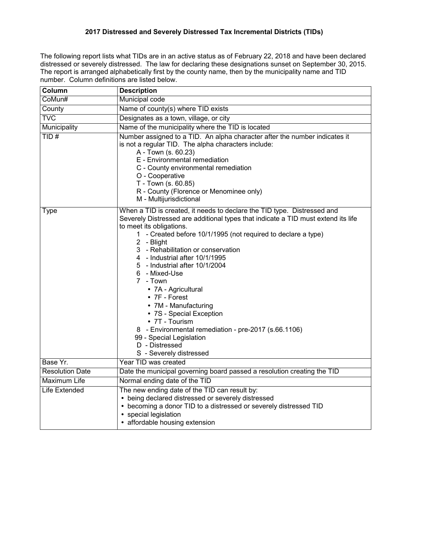## **2017 Distressed and Severely Distressed Tax Incremental Districts (TIDs)**

The following report lists what TIDs are in an active status as of February 22, 2018 and have been declared distressed or severely distressed. The law for declaring these designations sunset on September 30, 2015. The report is arranged alphabetically first by the county name, then by the municipality name and TID number. Column definitions are listed below.

| Column                 | <b>Description</b>                                                                                                                                                                                                                                                                                                                                                                                                                                                                                                                                                                                                                                            |
|------------------------|---------------------------------------------------------------------------------------------------------------------------------------------------------------------------------------------------------------------------------------------------------------------------------------------------------------------------------------------------------------------------------------------------------------------------------------------------------------------------------------------------------------------------------------------------------------------------------------------------------------------------------------------------------------|
| CoMun#                 | <b>Municipal code</b>                                                                                                                                                                                                                                                                                                                                                                                                                                                                                                                                                                                                                                         |
| County                 | Name of county(s) where TID exists                                                                                                                                                                                                                                                                                                                                                                                                                                                                                                                                                                                                                            |
| <b>TVC</b>             | Designates as a town, village, or city                                                                                                                                                                                                                                                                                                                                                                                                                                                                                                                                                                                                                        |
| Municipality           | Name of the municipality where the TID is located                                                                                                                                                                                                                                                                                                                                                                                                                                                                                                                                                                                                             |
| TID#                   | Number assigned to a TID. An alpha character after the number indicates it<br>is not a regular TID. The alpha characters include:<br>A - Town (s. 60.23)<br>E - Environmental remediation<br>C - County environmental remediation<br>O - Cooperative<br>T - Town (s. 60.85)<br>R - County (Florence or Menominee only)<br>M - Multijurisdictional                                                                                                                                                                                                                                                                                                             |
| <b>Type</b>            | When a TID is created, it needs to declare the TID type. Distressed and<br>Severely Distressed are additional types that indicate a TID must extend its life<br>to meet its obligations.<br>1 - Created before 10/1/1995 (not required to declare a type)<br>2 - Blight<br>3 - Rehabilitation or conservation<br>4 - Industrial after 10/1/1995<br>5 - Industrial after 10/1/2004<br>6 - Mixed-Use<br>7 - Town<br>• 7A - Agricultural<br>• 7F - Forest<br>• 7M - Manufacturing<br>• 7S - Special Exception<br>• 7T - Tourism<br>8 - Environmental remediation - pre-2017 (s.66.1106)<br>99 - Special Legislation<br>D - Distressed<br>S - Severely distressed |
| Base Yr.               | Year TID was created                                                                                                                                                                                                                                                                                                                                                                                                                                                                                                                                                                                                                                          |
| <b>Resolution Date</b> | Date the municipal governing board passed a resolution creating the TID                                                                                                                                                                                                                                                                                                                                                                                                                                                                                                                                                                                       |
| Maximum Life           | Normal ending date of the TID                                                                                                                                                                                                                                                                                                                                                                                                                                                                                                                                                                                                                                 |
| Life Extended          | The new ending date of the TID can result by:<br>• being declared distressed or severely distressed<br>• becoming a donor TID to a distressed or severely distressed TID<br>special legislation<br>• affordable housing extension                                                                                                                                                                                                                                                                                                                                                                                                                             |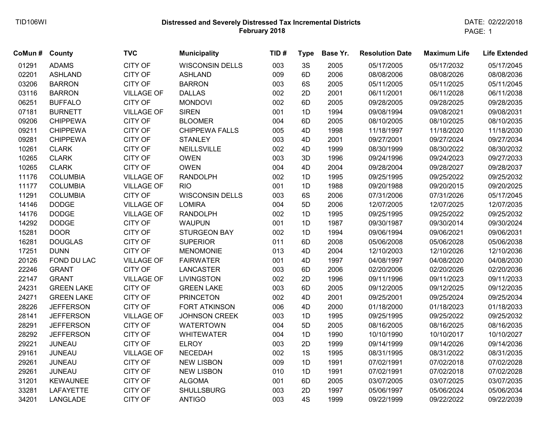## **Distressed and Severely Distressed Tax Incremental Districts February 2018** TID106WI DATE: 02/22/2018

PAGE: 1

| CoMun # | County            | <b>TVC</b>        | <b>Municipality</b>    | TID# | <b>Type</b> | Base Yr. | <b>Resolution Date</b> | <b>Maximum Life</b> | <b>Life Extended</b> |
|---------|-------------------|-------------------|------------------------|------|-------------|----------|------------------------|---------------------|----------------------|
| 01291   | <b>ADAMS</b>      | <b>CITY OF</b>    | <b>WISCONSIN DELLS</b> | 003  | 3S          | 2005     | 05/17/2005             | 05/17/2032          | 05/17/2045           |
| 02201   | <b>ASHLAND</b>    | <b>CITY OF</b>    | <b>ASHLAND</b>         | 009  | 6D          | 2006     | 08/08/2006             | 08/08/2026          | 08/08/2036           |
| 03206   | <b>BARRON</b>     | <b>CITY OF</b>    | <b>BARRON</b>          | 003  | 6S          | 2005     | 05/11/2005             | 05/11/2025          | 05/11/2045           |
| 03116   | <b>BARRON</b>     | <b>VILLAGE OF</b> | <b>DALLAS</b>          | 002  | 2D          | 2001     | 06/11/2001             | 06/11/2028          | 06/11/2038           |
| 06251   | <b>BUFFALO</b>    | <b>CITY OF</b>    | <b>MONDOVI</b>         | 002  | 6D          | 2005     | 09/28/2005             | 09/28/2025          | 09/28/2035           |
| 07181   | <b>BURNETT</b>    | <b>VILLAGE OF</b> | <b>SIREN</b>           | 001  | 1D          | 1994     | 09/08/1994             | 09/08/2021          | 09/08/2031           |
| 09206   | <b>CHIPPEWA</b>   | <b>CITY OF</b>    | <b>BLOOMER</b>         | 004  | 6D          | 2005     | 08/10/2005             | 08/10/2025          | 08/10/2035           |
| 09211   | <b>CHIPPEWA</b>   | <b>CITY OF</b>    | <b>CHIPPEWA FALLS</b>  | 005  | 4D          | 1998     | 11/18/1997             | 11/18/2020          | 11/18/2030           |
| 09281   | <b>CHIPPEWA</b>   | <b>CITY OF</b>    | <b>STANLEY</b>         | 003  | 4D          | 2001     | 09/27/2001             | 09/27/2024          | 09/27/2034           |
| 10261   | <b>CLARK</b>      | CITY OF           | NEILLSVILLE            | 002  | 4D          | 1999     | 08/30/1999             | 08/30/2022          | 08/30/2032           |
| 10265   | <b>CLARK</b>      | <b>CITY OF</b>    | <b>OWEN</b>            | 003  | 3D          | 1996     | 09/24/1996             | 09/24/2023          | 09/27/2033           |
| 10265   | <b>CLARK</b>      | <b>CITY OF</b>    | <b>OWEN</b>            | 004  | 4D          | 2004     | 09/28/2004             | 09/28/2027          | 09/28/2037           |
| 11176   | <b>COLUMBIA</b>   | <b>VILLAGE OF</b> | <b>RANDOLPH</b>        | 002  | 1D          | 1995     | 09/25/1995             | 09/25/2022          | 09/25/2032           |
| 11177   | <b>COLUMBIA</b>   | <b>VILLAGE OF</b> | <b>RIO</b>             | 001  | 1D          | 1988     | 09/20/1988             | 09/20/2015          | 09/20/2025           |
| 11291   | <b>COLUMBIA</b>   | <b>CITY OF</b>    | <b>WISCONSIN DELLS</b> | 003  | 6S          | 2006     | 07/31/2006             | 07/31/2026          | 05/17/2045           |
| 14146   | <b>DODGE</b>      | <b>VILLAGE OF</b> | <b>LOMIRA</b>          | 004  | 5D          | 2006     | 12/07/2005             | 12/07/2025          | 12/07/2035           |
| 14176   | <b>DODGE</b>      | <b>VILLAGE OF</b> | <b>RANDOLPH</b>        | 002  | 1D          | 1995     | 09/25/1995             | 09/25/2022          | 09/25/2032           |
| 14292   | <b>DODGE</b>      | <b>CITY OF</b>    | <b>WAUPUN</b>          | 001  | 1D          | 1987     | 09/30/1987             | 09/30/2014          | 09/30/2024           |
| 15281   | <b>DOOR</b>       | <b>CITY OF</b>    | <b>STURGEON BAY</b>    | 002  | 1D          | 1994     | 09/06/1994             | 09/06/2021          | 09/06/2031           |
| 16281   | <b>DOUGLAS</b>    | <b>CITY OF</b>    | <b>SUPERIOR</b>        | 011  | 6D          | 2008     | 05/06/2008             | 05/06/2028          | 05/06/2038           |
| 17251   | <b>DUNN</b>       | <b>CITY OF</b>    | <b>MENOMONIE</b>       | 013  | 4D          | 2004     | 12/10/2003             | 12/10/2026          | 12/10/2036           |
| 20126   | FOND DU LAC       | <b>VILLAGE OF</b> | <b>FAIRWATER</b>       | 001  | 4D          | 1997     | 04/08/1997             | 04/08/2020          | 04/08/2030           |
| 22246   | <b>GRANT</b>      | <b>CITY OF</b>    | LANCASTER              | 003  | 6D          | 2006     | 02/20/2006             | 02/20/2026          | 02/20/2036           |
| 22147   | <b>GRANT</b>      | <b>VILLAGE OF</b> | <b>LIVINGSTON</b>      | 002  | 2D          | 1996     | 09/11/1996             | 09/11/2023          | 09/11/2033           |
| 24231   | <b>GREEN LAKE</b> | <b>CITY OF</b>    | <b>GREEN LAKE</b>      | 003  | 6D          | 2005     | 09/12/2005             | 09/12/2025          | 09/12/2035           |
| 24271   | <b>GREEN LAKE</b> | <b>CITY OF</b>    | <b>PRINCETON</b>       | 002  | 4D          | 2001     | 09/25/2001             | 09/25/2024          | 09/25/2034           |
| 28226   | <b>JEFFERSON</b>  | <b>CITY OF</b>    | <b>FORT ATKINSON</b>   | 006  | 4D          | 2000     | 01/18/2000             | 01/18/2023          | 01/18/2033           |
| 28141   | <b>JEFFERSON</b>  | <b>VILLAGE OF</b> | <b>JOHNSON CREEK</b>   | 003  | 1D          | 1995     | 09/25/1995             | 09/25/2022          | 09/25/2032           |
| 28291   | <b>JEFFERSON</b>  | <b>CITY OF</b>    | <b>WATERTOWN</b>       | 004  | 5D          | 2005     | 08/16/2005             | 08/16/2025          | 08/16/2035           |
| 28292   | <b>JEFFERSON</b>  | <b>CITY OF</b>    | <b>WHITEWATER</b>      | 004  | 1D          | 1990     | 10/10/1990             | 10/10/2017          | 10/10/2027           |
| 29221   | <b>JUNEAU</b>     | CITY OF           | <b>ELROY</b>           | 003  | 2D          | 1999     | 09/14/1999             | 09/14/2026          | 09/14/2036           |
| 29161   | <b>JUNEAU</b>     | <b>VILLAGE OF</b> | <b>NECEDAH</b>         | 002  | 1S          | 1995     | 08/31/1995             | 08/31/2022          | 08/31/2035           |
| 29261   | <b>JUNEAU</b>     | <b>CITY OF</b>    | <b>NEW LISBON</b>      | 009  | 1D          | 1991     | 07/02/1991             | 07/02/2018          | 07/02/2028           |
| 29261   | <b>JUNEAU</b>     | <b>CITY OF</b>    | <b>NEW LISBON</b>      | 010  | 1D          | 1991     | 07/02/1991             | 07/02/2018          | 07/02/2028           |
| 31201   | <b>KEWAUNEE</b>   | <b>CITY OF</b>    | <b>ALGOMA</b>          | 001  | 6D          | 2005     | 03/07/2005             | 03/07/2025          | 03/07/2035           |
| 33281   | <b>LAFAYETTE</b>  | <b>CITY OF</b>    | <b>SHULLSBURG</b>      | 003  | 2D          | 1997     | 05/06/1997             | 05/06/2024          | 05/06/2034           |
| 34201   | LANGLADE          | <b>CITY OF</b>    | <b>ANTIGO</b>          | 003  | 4S          | 1999     | 09/22/1999             | 09/22/2022          | 09/22/2039           |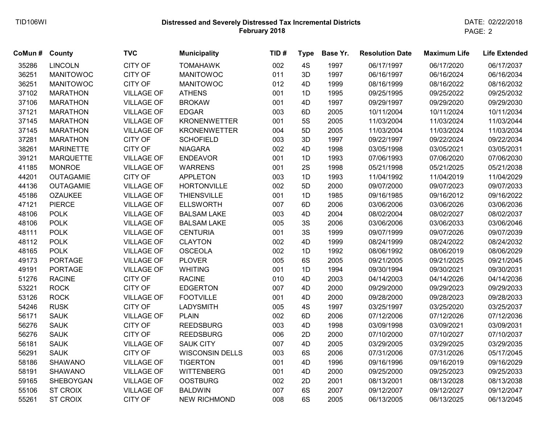## **Distressed and Severely Distressed Tax Incremental Districts February 2018** TID106WI DATE: 02/22/2018

| CoMun# | County           | <b>TVC</b>        | <b>Municipality</b>    | TID# | <b>Type</b> | Base Yr. | <b>Resolution Date</b> | <b>Maximum Life</b> | <b>Life Extended</b> |
|--------|------------------|-------------------|------------------------|------|-------------|----------|------------------------|---------------------|----------------------|
| 35286  | <b>LINCOLN</b>   | <b>CITY OF</b>    | <b>TOMAHAWK</b>        | 002  | 4S          | 1997     | 06/17/1997             | 06/17/2020          | 06/17/2037           |
| 36251  | <b>MANITOWOC</b> | <b>CITY OF</b>    | <b>MANITOWOC</b>       | 011  | 3D          | 1997     | 06/16/1997             | 06/16/2024          | 06/16/2034           |
| 36251  | <b>MANITOWOC</b> | <b>CITY OF</b>    | <b>MANITOWOC</b>       | 012  | 4D          | 1999     | 08/16/1999             | 08/16/2022          | 08/16/2032           |
| 37102  | <b>MARATHON</b>  | <b>VILLAGE OF</b> | <b>ATHENS</b>          | 001  | 1D          | 1995     | 09/25/1995             | 09/25/2022          | 09/25/2032           |
| 37106  | <b>MARATHON</b>  | <b>VILLAGE OF</b> | <b>BROKAW</b>          | 001  | 4D          | 1997     | 09/29/1997             | 09/29/2020          | 09/29/2030           |
| 37121  | <b>MARATHON</b>  | <b>VILLAGE OF</b> | <b>EDGAR</b>           | 003  | 6D          | 2005     | 10/11/2004             | 10/11/2024          | 10/11/2034           |
| 37145  | <b>MARATHON</b>  | <b>VILLAGE OF</b> | <b>KRONENWETTER</b>    | 001  | <b>5S</b>   | 2005     | 11/03/2004             | 11/03/2024          | 11/03/2044           |
| 37145  | <b>MARATHON</b>  | <b>VILLAGE OF</b> | <b>KRONENWETTER</b>    | 004  | 5D          | 2005     | 11/03/2004             | 11/03/2024          | 11/03/2034           |
| 37281  | <b>MARATHON</b>  | <b>CITY OF</b>    | <b>SCHOFIELD</b>       | 003  | 3D          | 1997     | 09/22/1997             | 09/22/2024          | 09/22/2034           |
| 38261  | <b>MARINETTE</b> | <b>CITY OF</b>    | <b>NIAGARA</b>         | 002  | 4D          | 1998     | 03/05/1998             | 03/05/2021          | 03/05/2031           |
| 39121  | <b>MARQUETTE</b> | <b>VILLAGE OF</b> | <b>ENDEAVOR</b>        | 001  | 1D          | 1993     | 07/06/1993             | 07/06/2020          | 07/06/2030           |
| 41185  | <b>MONROE</b>    | <b>VILLAGE OF</b> | <b>WARRENS</b>         | 001  | 2S          | 1998     | 05/21/1998             | 05/21/2025          | 05/21/2038           |
| 44201  | <b>OUTAGAMIE</b> | <b>CITY OF</b>    | <b>APPLETON</b>        | 003  | 1D          | 1993     | 11/04/1992             | 11/04/2019          | 11/04/2029           |
| 44136  | <b>OUTAGAMIE</b> | <b>VILLAGE OF</b> | <b>HORTONVILLE</b>     | 002  | 5D          | 2000     | 09/07/2000             | 09/07/2023          | 09/07/2033           |
| 45186  | <b>OZAUKEE</b>   | <b>VILLAGE OF</b> | <b>THIENSVILLE</b>     | 001  | 1D          | 1985     | 09/16/1985             | 09/16/2012          | 09/16/2022           |
| 47121  | <b>PIERCE</b>    | <b>VILLAGE OF</b> | <b>ELLSWORTH</b>       | 007  | 6D          | 2006     | 03/06/2006             | 03/06/2026          | 03/06/2036           |
| 48106  | <b>POLK</b>      | <b>VILLAGE OF</b> | <b>BALSAM LAKE</b>     | 003  | 4D          | 2004     | 08/02/2004             | 08/02/2027          | 08/02/2037           |
| 48106  | <b>POLK</b>      | <b>VILLAGE OF</b> | <b>BALSAM LAKE</b>     | 005  | 3S          | 2006     | 03/06/2006             | 03/06/2033          | 03/06/2046           |
| 48111  | <b>POLK</b>      | <b>VILLAGE OF</b> | <b>CENTURIA</b>        | 001  | 3S          | 1999     | 09/07/1999             | 09/07/2026          | 09/07/2039           |
| 48112  | <b>POLK</b>      | <b>VILLAGE OF</b> | <b>CLAYTON</b>         | 002  | 4D          | 1999     | 08/24/1999             | 08/24/2022          | 08/24/2032           |
| 48165  | <b>POLK</b>      | <b>VILLAGE OF</b> | <b>OSCEOLA</b>         | 002  | 1D          | 1992     | 08/06/1992             | 08/06/2019          | 08/06/2029           |
| 49173  | PORTAGE          | <b>VILLAGE OF</b> | <b>PLOVER</b>          | 005  | 6S          | 2005     | 09/21/2005             | 09/21/2025          | 09/21/2045           |
| 49191  | <b>PORTAGE</b>   | <b>VILLAGE OF</b> | <b>WHITING</b>         | 001  | 1D          | 1994     | 09/30/1994             | 09/30/2021          | 09/30/2031           |
| 51276  | <b>RACINE</b>    | <b>CITY OF</b>    | <b>RACINE</b>          | 010  | 4D          | 2003     | 04/14/2003             | 04/14/2026          | 04/14/2036           |
| 53221  | <b>ROCK</b>      | <b>CITY OF</b>    | <b>EDGERTON</b>        | 007  | 4D          | 2000     | 09/29/2000             | 09/29/2023          | 09/29/2033           |
| 53126  | <b>ROCK</b>      | <b>VILLAGE OF</b> | <b>FOOTVILLE</b>       | 001  | 4D          | 2000     | 09/28/2000             | 09/28/2023          | 09/28/2033           |
| 54246  | <b>RUSK</b>      | <b>CITY OF</b>    | <b>LADYSMITH</b>       | 005  | 4S          | 1997     | 03/25/1997             | 03/25/2020          | 03/25/2037           |
| 56171  | <b>SAUK</b>      | <b>VILLAGE OF</b> | <b>PLAIN</b>           | 002  | 6D          | 2006     | 07/12/2006             | 07/12/2026          | 07/12/2036           |
| 56276  | <b>SAUK</b>      | <b>CITY OF</b>    | <b>REEDSBURG</b>       | 003  | 4D          | 1998     | 03/09/1998             | 03/09/2021          | 03/09/2031           |
| 56276  | <b>SAUK</b>      | <b>CITY OF</b>    | <b>REEDSBURG</b>       | 006  | 2D          | 2000     | 07/10/2000             | 07/10/2027          | 07/10/2037           |
| 56181  | <b>SAUK</b>      | <b>VILLAGE OF</b> | <b>SAUK CITY</b>       | 007  | 4D          | 2005     | 03/29/2005             | 03/29/2025          | 03/29/2035           |
| 56291  | <b>SAUK</b>      | <b>CITY OF</b>    | <b>WISCONSIN DELLS</b> | 003  | 6S          | 2006     | 07/31/2006             | 07/31/2026          | 05/17/2045           |
| 58186  | <b>SHAWANO</b>   | <b>VILLAGE OF</b> | <b>TIGERTON</b>        | 001  | 4D          | 1996     | 09/16/1996             | 09/16/2019          | 09/16/2029           |
| 58191  | <b>SHAWANO</b>   | <b>VILLAGE OF</b> | <b>WITTENBERG</b>      | 001  | 4D          | 2000     | 09/25/2000             | 09/25/2023          | 09/25/2033           |
| 59165  | SHEBOYGAN        | <b>VILLAGE OF</b> | <b>OOSTBURG</b>        | 002  | 2D          | 2001     | 08/13/2001             | 08/13/2028          | 08/13/2038           |
| 55106  | <b>ST CROIX</b>  | <b>VILLAGE OF</b> | <b>BALDWIN</b>         | 007  | 6S          | 2007     | 09/12/2007             | 09/12/2027          | 09/12/2047           |
| 55261  | <b>ST CROIX</b>  | <b>CITY OF</b>    | <b>NEW RICHMOND</b>    | 008  | 6S          | 2005     | 06/13/2005             | 06/13/2025          | 06/13/2045           |